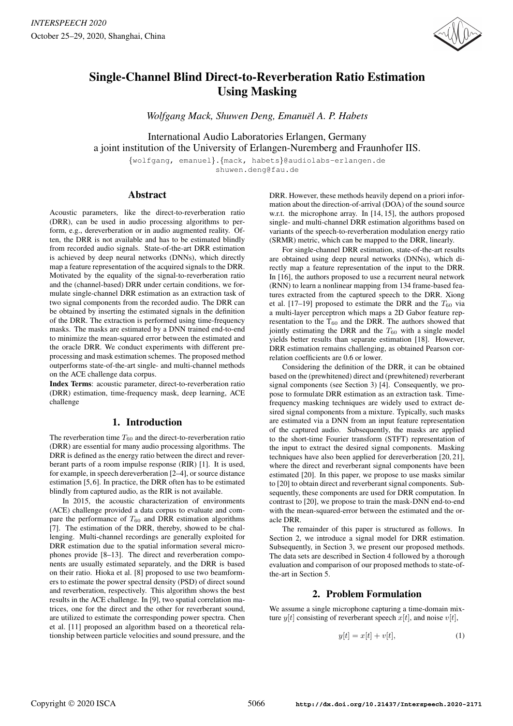

# Single-Channel Blind Direct-to-Reverberation Ratio Estimation Using Masking

*Wolfgang Mack, Shuwen Deng, Emanuel A. P. Habets ¨*

International Audio Laboratories Erlangen, Germany a joint institution of the University of Erlangen-Nuremberg and Fraunhofer IIS.

{wolfgang, emanuel}.{mack, habets}@audiolabs-erlangen.de shuwen.deng@fau.de

# Abstract

Acoustic parameters, like the direct-to-reverberation ratio (DRR), can be used in audio processing algorithms to perform, e.g., dereverberation or in audio augmented reality. Often, the DRR is not available and has to be estimated blindly from recorded audio signals. State-of-the-art DRR estimation is achieved by deep neural networks (DNNs), which directly map a feature representation of the acquired signals to the DRR. Motivated by the equality of the signal-to-reverberation ratio and the (channel-based) DRR under certain conditions, we formulate single-channel DRR estimation as an extraction task of two signal components from the recorded audio. The DRR can be obtained by inserting the estimated signals in the definition of the DRR. The extraction is performed using time-frequency masks. The masks are estimated by a DNN trained end-to-end to minimize the mean-squared error between the estimated and the oracle DRR. We conduct experiments with different preprocessing and mask estimation schemes. The proposed method outperforms state-of-the-art single- and multi-channel methods on the ACE challenge data corpus.

Index Terms: acoustic parameter, direct-to-reverberation ratio (DRR) estimation, time-frequency mask, deep learning, ACE challenge

# 1. Introduction

The reverberation time  $T_{60}$  and the direct-to-reverberation ratio (DRR) are essential for many audio processing algorithms. The DRR is defined as the energy ratio between the direct and reverberant parts of a room impulse response (RIR) [1]. It is used, for example, in speech dereverberation [2–4], or source distance estimation [5,6]. In practice, the DRR often has to be estimated blindly from captured audio, as the RIR is not available.

In 2015, the acoustic characterization of environments (ACE) challenge provided a data corpus to evaluate and compare the performance of  $T_{60}$  and DRR estimation algorithms [7]. The estimation of the DRR, thereby, showed to be challenging. Multi-channel recordings are generally exploited for DRR estimation due to the spatial information several microphones provide [8–13]. The direct and reverberation components are usually estimated separately, and the DRR is based on their ratio. Hioka et al. [8] proposed to use two beamformers to estimate the power spectral density (PSD) of direct sound and reverberation, respectively. This algorithm shows the best results in the ACE challenge. In [9], two spatial correlation matrices, one for the direct and the other for reverberant sound, are utilized to estimate the corresponding power spectra. Chen et al. [11] proposed an algorithm based on a theoretical relationship between particle velocities and sound pressure, and the DRR. However, these methods heavily depend on a priori information about the direction-of-arrival (DOA) of the sound source w.r.t. the microphone array. In [14, 15], the authors proposed single- and multi-channel DRR estimation algorithms based on variants of the speech-to-reverberation modulation energy ratio (SRMR) metric, which can be mapped to the DRR, linearly.

For single-channel DRR estimation, state-of-the-art results are obtained using deep neural networks (DNNs), which directly map a feature representation of the input to the DRR. In [16], the authors proposed to use a recurrent neural network (RNN) to learn a nonlinear mapping from 134 frame-based features extracted from the captured speech to the DRR. Xiong et al. [17–19] proposed to estimate the DRR and the  $T_{60}$  via a multi-layer perceptron which maps a 2D Gabor feature representation to the  $T_{60}$  and the DRR. The authors showed that jointly estimating the DRR and the  $T_{60}$  with a single model yields better results than separate estimation [18]. However, DRR estimation remains challenging, as obtained Pearson correlation coefficients are 0.6 or lower.

Considering the definition of the DRR, it can be obtained based on the (prewhitened) direct and (prewhitened) reverberant signal components (see Section 3) [4]. Consequently, we propose to formulate DRR estimation as an extraction task. Timefrequency masking techniques are widely used to extract desired signal components from a mixture. Typically, such masks are estimated via a DNN from an input feature representation of the captured audio. Subsequently, the masks are applied to the short-time Fourier transform (STFT) representation of the input to extract the desired signal components. Masking techniques have also been applied for dereverberation [20, 21], where the direct and reverberant signal components have been estimated [20]. In this paper, we propose to use masks similar to [20] to obtain direct and reverberant signal components. Subsequently, these components are used for DRR computation. In contrast to [20], we propose to train the mask-DNN end-to-end with the mean-squared-error between the estimated and the oracle DRR.

The remainder of this paper is structured as follows. In Section 2, we introduce a signal model for DRR estimation. Subsequently, in Section 3, we present our proposed methods. The data sets are described in Section 4 followed by a thorough evaluation and comparison of our proposed methods to state-ofthe-art in Section 5.

## 2. Problem Formulation

We assume a single microphone capturing a time-domain mixture  $y[t]$  consisting of reverberant speech  $x[t]$ , and noise  $v[t]$ ,

$$
y[t] = x[t] + v[t],\tag{1}
$$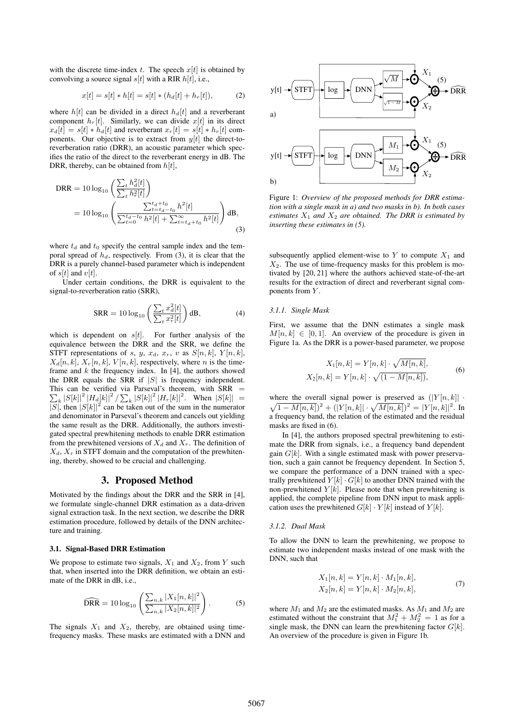with the discrete time-index t. The speech  $x[t]$  is obtained by convolving a source signal  $s[t]$  with a RIR  $h[t]$ , i.e.,

$$
x[t] = s[t] * h[t] = s[t] * (h_d[t] + h_r[t]), \tag{2}
$$

where  $h[t]$  can be divided in a direct  $h_d[t]$  and a reverberant component  $h_r[t]$ . Similarly, we can divide  $x[t]$  in its direct  $x_d[t] = s[t] * h_d[t]$  and reverberant  $x_r[t] = s[t] * h_r[t]$  components. Our objective is to extract from  $y[t]$  the direct-toreverberation ratio (DRR), an acoustic parameter which specifies the ratio of the direct to the reverberant energy in dB. The DRR, thereby, can be obtained from  $h[t]$ ,

$$
\begin{split} \text{DRR} &= 10 \log_{10} \left( \frac{\sum_{t} h_d^2[t]}{\sum_{t} h_r^2[t]} \right) \\ &= 10 \log_{10} \left( \frac{\sum_{t=t_d-t_0}^{t_d+t_0} h^2[t]}{\sum_{t=0}^{t_d-t_0} h^2[t] + \sum_{t=t_d+t_0}^{\infty} h^2[t]} \right) \text{dB}, \end{split} \tag{3}
$$

where  $t_d$  and  $t_0$  specify the central sample index and the temporal spread of  $h_d$ , respectively. From (3), it is clear that the DRR is a purely channel-based parameter which is independent of  $s[t]$  and  $v[t]$ .

Under certain conditions, the DRR is equivalent to the signal-to-reverberation ratio (SRR),

$$
SRR = 10 \log_{10} \left( \frac{\sum_{t} x_d^2[t]}{\sum_{t} x_r^2[t]} \right) dB,
$$
\n(4)

which is dependent on  $s[t]$ . For further analysis of the equivalence between the DRR and the SRR, we define the STFT representations of s, y,  $x_d$ ,  $x_r$ , v as  $S[n, k]$ ,  $Y[n, k]$ ,  $X_d[n, k], X_r[n, k], V[n, k]$ , respectively, where n is the timeframe and  $k$  the frequency index. In [4], the authors showed the DRR equals the SRR if  $|S|$  is frequency independent.  $\sum_{k} |S[k]|^2 |H_d[k]|^2 / \sum_{k} |S[k]|^2 |H_r[k]|^2$ . When  $|S[k]| =$ This can be verified via Parseval's theorem, with  $SRR =$  $|\overline{S}|$ , then  $|S[k]|^2$  can be taken out of the sum in the numerator and denominator in Parseval's theorem and cancels out yielding the same result as the DRR. Additionally, the authors investigated spectral prewhitening methods to enable DRR estimation from the prewhitened versions of  $X_d$  and  $X_r$ . The definition of  $X_d$ ,  $X_r$  in STFT domain and the computation of the prewhitening, thereby, showed to be crucial and challenging.

#### 3. Proposed Method

Motivated by the findings about the DRR and the SRR in [4], we formulate single-channel DRR estimation as a data-driven signal extraction task. In the next section, we describe the DRR estimation procedure, followed by details of the DNN architecture and training.

#### 3.1. Signal-Based DRR Estimation

We propose to estimate two signals,  $X_1$  and  $X_2$ , from Y such that, when inserted into the DRR definition, we obtain an estimate of the DRR in dB, i.e.,

$$
\widehat{\text{DRR}} = 10 \log_{10} \left( \frac{\sum_{n,k} |X_1[n,k]|^2}{\sum_{n,k} |X_2[n,k]|^2} \right). \tag{5}
$$

The signals  $X_1$  and  $X_2$ , thereby, are obtained using timefrequency masks. These masks are estimated with a DNN and



Figure 1: *Overview of the proposed methods for DRR estimation with a single mask in a) and two masks in b). In both cases estimates*  $X_1$  *and*  $X_2$  *are obtained. The DRR is estimated by inserting these estimates in (5).*

subsequently applied element-wise to  $Y$  to compute  $X_1$  and  $X_2$ . The use of time-frequency masks for this problem is motivated by [20, 21] where the authors achieved state-of-the-art results for the extraction of direct and reverberant signal components from Y.

#### *3.1.1. Single Mask*

First, we assume that the DNN estimates a single mask  $M[n, k] \in [0, 1]$ . An overview of the procedure is given in Figure 1a. As the DRR is a power-based parameter, we propose

$$
X_1[n,k] = Y[n,k] \cdot \sqrt{M[n,k]},
$$
  
\n
$$
X_2[n,k] = Y[n,k] \cdot \sqrt{(1 - M[n,k])},
$$
\n(6)

where the overall signal power is preserved as  $(|Y[n, k]|$ .  $\sqrt{1-M[n,k]}\big)^2 + (|Y[n,k]| \cdot \sqrt{M[n,k]}\big)^2 = |Y[n,k]|^2.$  In a frequency band, the relation of the estimated and the residual masks are fixed in (6).

In [4], the authors proposed spectral prewhitening to estimate the DRR from signals, i.e., a frequency band dependent gain  $G[k]$ . With a single estimated mask with power preservation, such a gain cannot be frequency dependent. In Section 5, we compare the performance of a DNN trained with a spectrally prewhitened  $Y[k] \cdot G[k]$  to another DNN trained with the non-prewhitened  $Y[k]$ . Please note that when prewhitening is applied, the complete pipeline from DNN input to mask application uses the prewhitened  $G[k] \cdot Y[k]$  instead of  $Y[k]$ .

#### *3.1.2. Dual Mask*

To allow the DNN to learn the prewhitening, we propose to estimate two independent masks instead of one mask with the DNN, such that

$$
X_1[n,k] = Y[n,k] \cdot M_1[n,k],
$$
  
\n
$$
X_2[n,k] = Y[n,k] \cdot M_2[n,k],
$$
\n(7)

where  $M_1$  and  $M_2$  are the estimated masks. As  $M_1$  and  $M_2$  are estimated without the constraint that  $M_1^2 + M_2^2 = 1$  as for a single mask, the DNN can learn the prewhitening factor  $G[k]$ . An overview of the procedure is given in Figure 1b.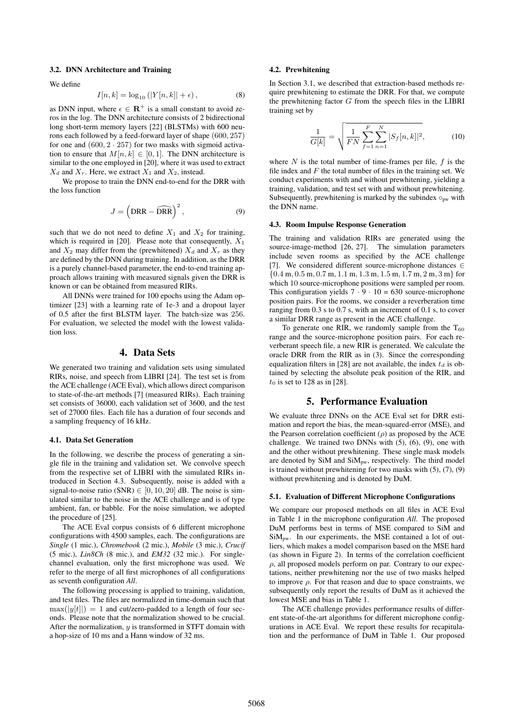## 3.2. DNN Architecture and Training

We define

$$
I[n,k] = \log_{10} (|Y[n,k]| + \epsilon), \tag{8}
$$

as DNN input, where  $\epsilon \in \mathbb{R}^+$  is a small constant to avoid zeros in the log. The DNN architecture consists of 2 bidirectional long short-term memory layers [22] (BLSTMs) with 600 neurons each followed by a feed-forward layer of shape (600, 257) for one and  $(600, 2 \cdot 257)$  for two masks with sigmoid activation to ensure that  $M[n, k] \in [0, 1]$ . The DNN architecture is similar to the one employed in [20], where it was used to extract  $X_d$  and  $X_r$ . Here, we extract  $X_1$  and  $X_2$ , instead.

We propose to train the DNN end-to-end for the DRR with the loss function

$$
J = \left(\text{DRR} - \widehat{\text{DRR}}\right)^2,\tag{9}
$$

such that we do not need to define  $X_1$  and  $X_2$  for training, which is required in [20]. Please note that consequently,  $X_1$ and  $X_2$  may differ from the (prewhitened)  $X_d$  and  $X_r$  as they are defined by the DNN during training. In addition, as the DRR is a purely channel-based parameter, the end-to-end training approach allows training with measured signals given the DRR is known or can be obtained from measured RIRs.

All DNNs were trained for 100 epochs using the Adam optimizer [23] with a learning rate of 1e-3 and a dropout layer of 0.5 after the first BLSTM layer. The batch-size was 256. For evaluation, we selected the model with the lowest validation loss.

## 4. Data Sets

We generated two training and validation sets using simulated RIRs, noise, and speech from LIBRI [24]. The test set is from the ACE challenge (ACE Eval), which allows direct comparison to state-of-the-art methods [7] (measured RIRs). Each training set consists of 36000, each validation set of 3600, and the test set of 27000 files. Each file has a duration of four seconds and a sampling frequency of 16 kHz.

## 4.1. Data Set Generation

In the following, we describe the process of generating a single file in the training and validation set. We convolve speech from the respective set of LIBRI with the simulated RIRs introduced in Section 4.3. Subsequently, noise is added with a signal-to-noise ratio (SNR)  $\in [0, 10, 20]$  dB. The noise is simulated similar to the noise in the ACE challenge and is of type ambient, fan, or babble. For the noise simulation, we adopted the procedure of [25].

The ACE Eval corpus consists of 6 different microphone configurations with 4500 samples, each. The configurations are *Single* (1 mic.), *Chromebook* (2 mic.), *Mobile* (3 mic.), *Crucif* (5 mic.), *Lin8Ch* (8 mic.), and *EM32* (32 mic.). For singlechannel evaluation, only the first microphone was used. We refer to the merge of all first microphones of all configurations as seventh configuration *All*.

The following processing is applied to training, validation, and test files. The files are normalized in time-domain such that  $\max(|y[t]|) = 1$  and cut/zero-padded to a length of four seconds. Please note that the normalization showed to be crucial. After the normalization,  $y$  is transformed in STFT domain with a hop-size of 10 ms and a Hann window of 32 ms.

#### 4.2. Prewhitening

In Section 3.1, we described that extraction-based methods require prewhitening to estimate the DRR. For that, we compute the prewhitening factor  $G$  from the speech files in the LIBRI training set by

$$
\frac{1}{G[k]} = \sqrt{\frac{1}{FN} \sum_{f=1}^{F} \sum_{n=1}^{N} |S_f[n, k]|^2},
$$
(10)

where  $N$  is the total number of time-frames per file,  $f$  is the file index and  $F$  the total number of files in the training set. We conduct experiments with and without prewhitening, yielding a training, validation, and test set with and without prewhitening. Subsequently, prewhitening is marked by the subindex  $\circ_{pw}$  with the DNN name.

#### 4.3. Room Impulse Response Generation

The training and validation RIRs are generated using the source-image-method [26, 27]. The simulation parameters include seven rooms as specified by the ACE challenge [7]. We considered different source-microphone distances ∈  ${0.4 \text{ m}, 0.5 \text{ m}, 0.7 \text{ m}, 1.1 \text{ m}, 1.3 \text{ m}, 1.5 \text{ m}, 1.7 \text{ m}, 2 \text{ m}, 3 \text{ m}}$  for which 10 source-microphone positions were sampled per room. This configuration yields  $7 \cdot 9 \cdot 10 = 630$  source-microphone position pairs. For the rooms, we consider a reverberation time ranging from 0.3 s to 0.7 s, with an increment of 0.1 s, to cover a similar DRR range as present in the ACE challenge.

To generate one RIR, we randomly sample from the  $T_{60}$ range and the source-microphone position pairs. For each reverberant speech file, a new RIR is generated. We calculate the oracle DRR from the RIR as in (3). Since the corresponding equalization filters in [28] are not available, the index  $t_d$  is obtained by selecting the absolute peak position of the RIR, and  $t_0$  is set to 128 as in [28].

## 5. Performance Evaluation

We evaluate three DNNs on the ACE Eval set for DRR estimation and report the bias, the mean-squared-error (MSE), and the Pearson correlation coefficient  $(\rho)$  as proposed by the ACE challenge. We trained two DNNs with (5), (6), (9), one with and the other without prewhitening. These single mask models are denoted by SiM and SiMpw, respectively. The third model is trained without prewhitening for two masks with (5), (7), (9) without prewhitening and is denoted by DuM.

#### 5.1. Evaluation of Different Microphone Configurations

We compare our proposed methods on all files in ACE Eval in Table 1 in the microphone configuration *All*. The proposed DuM performs best in terms of MSE compared to SiM and  $SiM<sub>pw</sub>$ . In our experiments, the MSE contained a lot of outliers, which makes a model comparison based on the MSE hard (as shown in Figure 2). In terms of the correlation coefficient  $\rho$ , all proposed models perform on par. Contrary to our expectations, neither prewhitening nor the use of two masks helped to improve  $\rho$ . For that reason and due to space constraints, we subsequently only report the results of DuM as it achieved the lowest MSE and bias in Table 1.

The ACE challenge provides performance results of different state-of-the-art algorithms for different microphone configurations in ACE Eval. We report these results for recapitulation and the performance of DuM in Table 1. Our proposed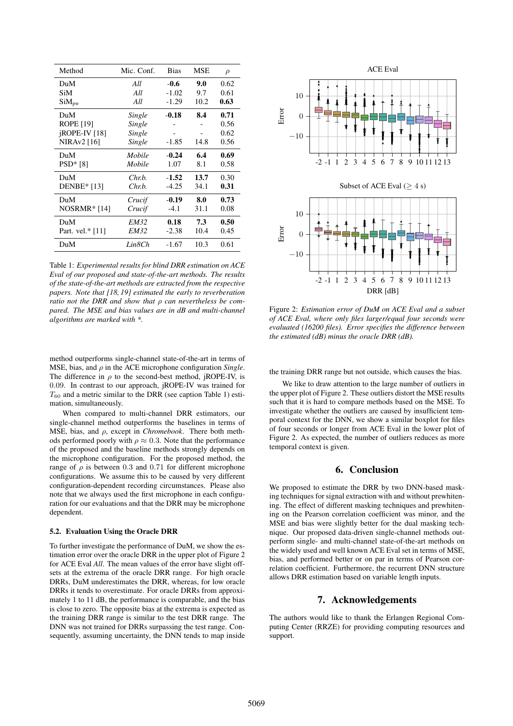| Method                   | Mic. Conf.  | <b>Bias</b> | <b>MSE</b> | $\rho$ |
|--------------------------|-------------|-------------|------------|--------|
| DuM                      | All         | $-0.6$      | 9.0        | 0.62   |
| SiM                      | All         | $-1.02$     | 9.7        | 0.61   |
| $SiM_{pw}$               | All         | $-1.29$     | 10.2       | 0.63   |
| DuM                      | Single      | $-0.18$     | 8.4        | 0.71   |
| <b>ROPE</b> [19]         | Single      |             |            | 0.56   |
| ¡ROPE-IV <sup>[18]</sup> | Single      |             |            | 0.62   |
| NIRAv2 [16]              | Single      | $-1.85$     | 14.8       | 0.56   |
| DuM                      | Mobile      | $-0.24$     | 6.4        | 0.69   |
| $PSD* [8]$               | Mobile      | 1.07        | 8.1        | 0.58   |
| DuM                      | Chr.b.      | $-1.52$     | 13.7       | 0.30   |
| <b>DENBE</b> * [13]      | Chr.b.      | $-4.25$     | 34.1       | 0.31   |
| DuM                      | Crucif      | $-0.19$     | 8.0        | 0.73   |
| $NOSRMR* [14]$           | Crucif      | $-4.1$      | 31.1       | 0.08   |
| DuM                      | <i>EM32</i> | 0.18        | 7.3        | 0.50   |
| Part. vel.* [11]         | <b>EM32</b> | $-2.38$     | 10.4       | 0.45   |
| DuM                      | Lin8Ch      | $-1.67$     | 10.3       | 0.61   |

Table 1: *Experimental results for blind DRR estimation on ACE Eval of our proposed and state-of-the-art methods. The results of the state-of-the-art methods are extracted from the respective papers. Note that [18, 19] estimated the early to reverberation ratio not the DRR and show that* ρ *can nevertheless be compared. The MSE and bias values are in dB and multi-channel algorithms are marked with \*.*

method outperforms single-channel state-of-the-art in terms of MSE, bias, and  $\rho$  in the ACE microphone configuration *Single*. The difference in  $\rho$  to the second-best method, jROPE-IV, is 0.09. In contrast to our approach, jROPE-IV was trained for  $T_{60}$  and a metric similar to the DRR (see caption Table 1) estimation, simultaneously.

When compared to multi-channel DRR estimators, our single-channel method outperforms the baselines in terms of MSE, bias, and ρ, except in *Chromebook*. There both methods performed poorly with  $\rho \approx 0.3$ . Note that the performance of the proposed and the baseline methods strongly depends on the microphone configuration. For the proposed method, the range of  $\rho$  is between 0.3 and 0.71 for different microphone configurations. We assume this to be caused by very different configuration-dependent recording circumstances. Please also note that we always used the first microphone in each configuration for our evaluations and that the DRR may be microphone dependent.

#### 5.2. Evaluation Using the Oracle DRR

To further investigate the performance of DuM, we show the estimation error over the oracle DRR in the upper plot of Figure 2 for ACE Eval *All*. The mean values of the error have slight offsets at the extrema of the oracle DRR range. For high oracle DRRs, DuM underestimates the DRR, whereas, for low oracle DRRs it tends to overestimate. For oracle DRRs from approximately 1 to 11 dB, the performance is comparable, and the bias is close to zero. The opposite bias at the extrema is expected as the training DRR range is similar to the test DRR range. The DNN was not trained for DRRs surpassing the test range. Consequently, assuming uncertainty, the DNN tends to map inside



Figure 2: *Estimation error of DuM on ACE Eval and a subset of ACE Eval, where only files larger/equal four seconds were evaluated (16200 files). Error specifies the difference between the estimated (dB) minus the oracle DRR (dB).*

the training DRR range but not outside, which causes the bias.

We like to draw attention to the large number of outliers in the upper plot of Figure 2. These outliers distort the MSE results such that it is hard to compare methods based on the MSE. To investigate whether the outliers are caused by insufficient temporal context for the DNN, we show a similar boxplot for files of four seconds or longer from ACE Eval in the lower plot of Figure 2. As expected, the number of outliers reduces as more temporal context is given.

# 6. Conclusion

We proposed to estimate the DRR by two DNN-based masking techniques for signal extraction with and without prewhitening. The effect of different masking techniques and prewhitening on the Pearson correlation coefficient was minor, and the MSE and bias were slightly better for the dual masking technique. Our proposed data-driven single-channel methods outperform single- and multi-channel state-of-the-art methods on the widely used and well known ACE Eval set in terms of MSE, bias, and performed better or on par in terms of Pearson correlation coefficient. Furthermore, the recurrent DNN structure allows DRR estimation based on variable length inputs.

# 7. Acknowledgements

The authors would like to thank the Erlangen Regional Computing Center (RRZE) for providing computing resources and support.